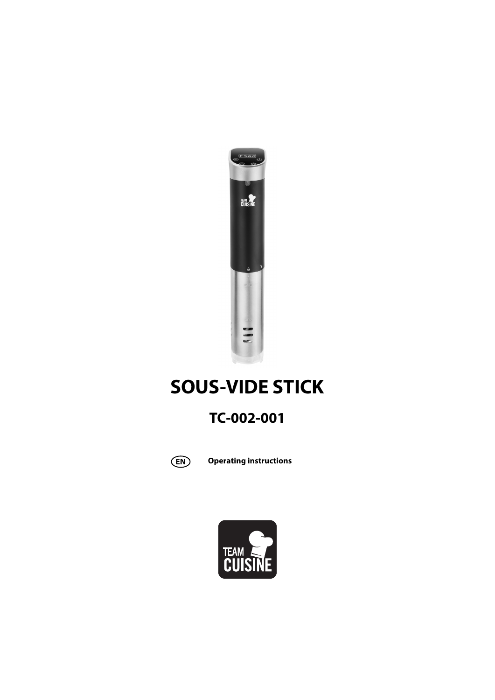

# **SOUS-VIDE STICK**

# **TC-002-001**



**EN Operating instructions**

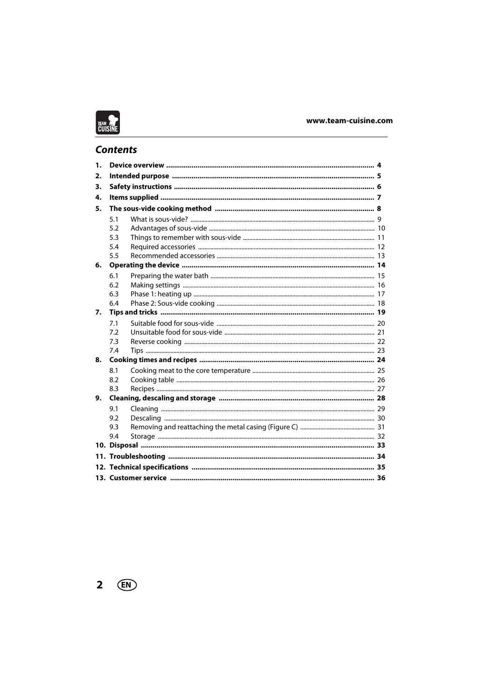

# **Contents**

| 1. |     |  |  |
|----|-----|--|--|
| 2. |     |  |  |
| 3. |     |  |  |
| 4. |     |  |  |
| 5. |     |  |  |
|    | 5.1 |  |  |
|    | 5.2 |  |  |
|    | 5.3 |  |  |
|    | 5.4 |  |  |
|    | 5.5 |  |  |
| 6. |     |  |  |
|    | 6.1 |  |  |
|    | 6.2 |  |  |
|    | 6.3 |  |  |
|    | 6.4 |  |  |
| 7. |     |  |  |
|    | 7.1 |  |  |
|    | 7.2 |  |  |
|    | 7.3 |  |  |
|    | 7.4 |  |  |
| 8. |     |  |  |
|    | 8.1 |  |  |
|    | 8.2 |  |  |
|    | 8.3 |  |  |
| 9. |     |  |  |
|    | 9.1 |  |  |
|    | 9.2 |  |  |
|    | 9.3 |  |  |
|    | 9.4 |  |  |
|    |     |  |  |
|    |     |  |  |
|    |     |  |  |
|    |     |  |  |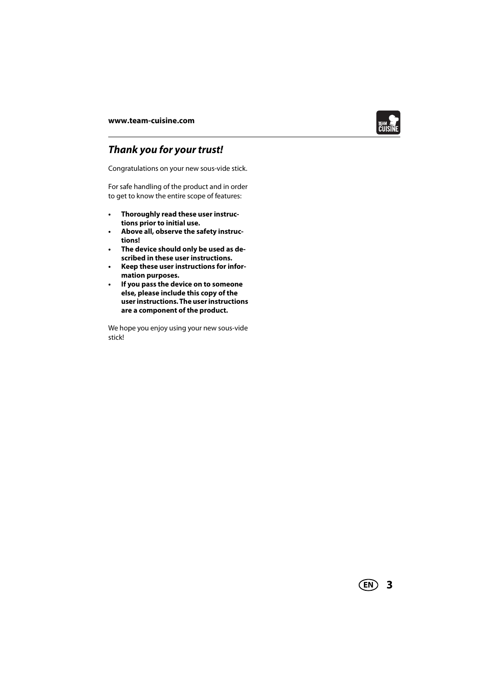

# *Thank you for your trust!*

Congratulations on your new sous-vide stick.

For safe handling of the product and in order to get to know the entire scope of features:

- **Thoroughly read these user instructions prior to initial use.**
- **Above all, observe the safety instructions!**
- **The device should only be used as described in these user instructions.**
- **Keep these user instructions for information purposes.**
- **If you pass the device on to someone else, please include this copy of the user instructions. The user instructions are a component of the product.**

We hope you enjoy using your new sous-vide stick!

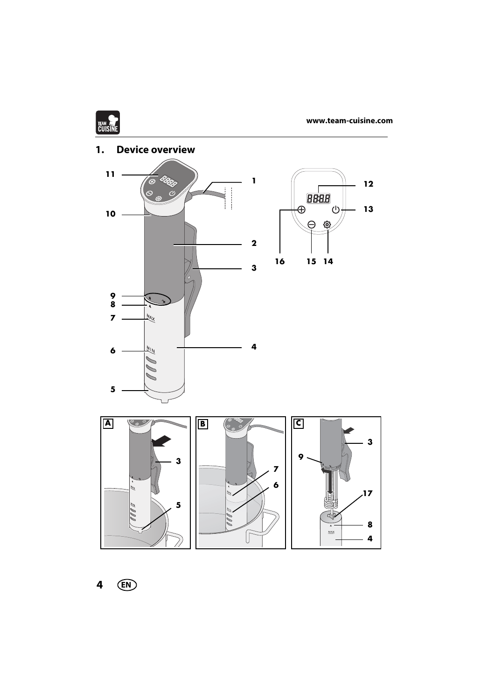

## **1. Device overview**







 $\overline{4}$   $\overline{2}$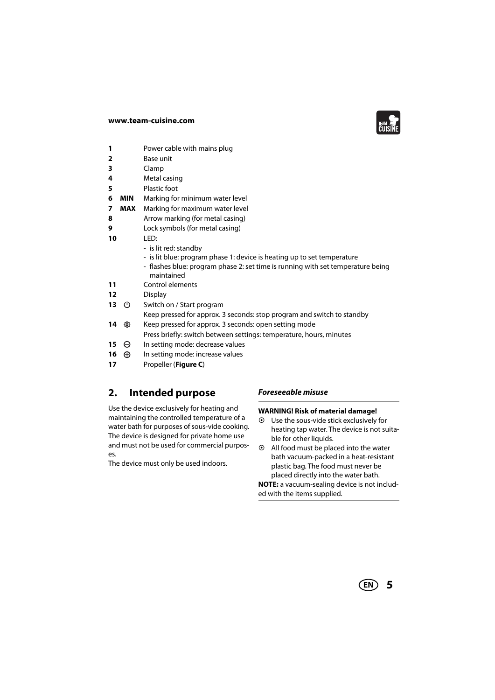#### **www.team-cuisine.com**



| 1                                           |                                        | Power cable with mains plug                                                     |  |
|---------------------------------------------|----------------------------------------|---------------------------------------------------------------------------------|--|
|                                             |                                        | Base unit                                                                       |  |
| $\overline{\mathbf{2}}$                     |                                        |                                                                                 |  |
| 3                                           |                                        | Clamp                                                                           |  |
| Metal casing<br>4                           |                                        |                                                                                 |  |
| Plastic foot<br>5                           |                                        |                                                                                 |  |
| Marking for minimum water level<br>6<br>MIN |                                        |                                                                                 |  |
| 7                                           | MAX<br>Marking for maximum water level |                                                                                 |  |
| 8                                           |                                        | Arrow marking (for metal casing)                                                |  |
| 9                                           |                                        | Lock symbols (for metal casing)                                                 |  |
| 10                                          |                                        | IFD:                                                                            |  |
|                                             |                                        | - is lit red: standby                                                           |  |
|                                             |                                        | - is lit blue: program phase 1: device is heating up to set temperature         |  |
|                                             |                                        | - flashes blue: program phase 2: set time is running with set temperature being |  |
|                                             |                                        | maintained                                                                      |  |
| 11                                          |                                        | Control elements                                                                |  |
| 12                                          |                                        | Display                                                                         |  |
| 13                                          | $\langle$ <sup>1</sup>                 | Switch on / Start program                                                       |  |
|                                             |                                        | Keep pressed for approx. 3 seconds: stop program and switch to standby          |  |
| 14                                          | ତ୍ର:                                   | Keep pressed for approx. 3 seconds: open setting mode                           |  |
|                                             |                                        | Press briefly: switch between settings: temperature, hours, minutes             |  |
| 15                                          | Θ                                      | In setting mode: decrease values                                                |  |
| 16                                          | ⊕                                      | In setting mode: increase values                                                |  |
| 17                                          |                                        | Propeller (Figure C)                                                            |  |

### **2. Intended purpose**

Use the device exclusively for heating and maintaining the controlled temperature of a water bath for purposes of sous-vide cooking. The device is designed for private home use and must not be used for commercial purposes.

The device must only be used indoors.

### *Foreseeable misuse*

#### **WARNING! Risk of material damage!**

- $•$  Use the sous-vide stick exclusively for heating tap water. The device is not suitable for other liquids.
- $\odot$  All food must be placed into the water bath vacuum-packed in a heat-resistant plastic bag. The food must never be placed directly into the water bath.

**NOTE:** a vacuum-sealing device is not included with the items supplied.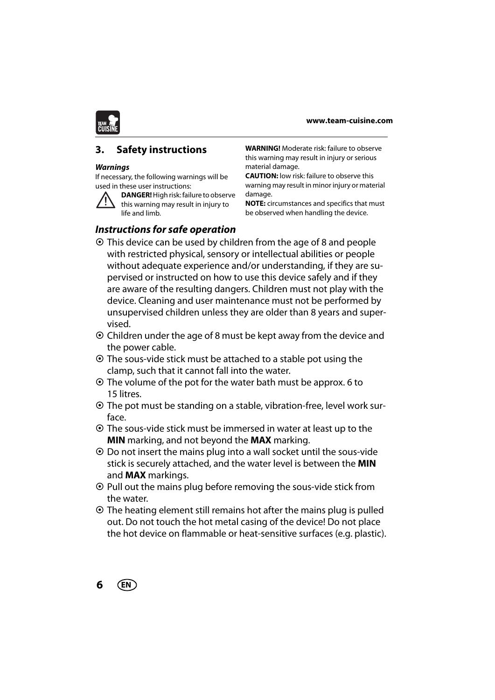

# **3. Safety instructions**

### *Warnings*

If necessary, the following warnings will be used in these user instructions:



**DANGER!** High risk: failure to observe this warning may result in injury to life and limb.

**WARNING!** Moderate risk: failure to observe this warning may result in injury or serious material damage.

**CAUTION:** low risk: failure to observe this warning may result in minor injury or material damage.

**NOTE:** circumstances and specifics that must be observed when handling the device.

# *Instructions for safe operation*

- $\odot$  This device can be used by children from the age of 8 and people with restricted physical, sensory or intellectual abilities or people without adequate experience and/or understanding, if they are supervised or instructed on how to use this device safely and if they are aware of the resulting dangers. Children must not play with the device. Cleaning and user maintenance must not be performed by unsupervised children unless they are older than 8 years and supervised.
- $\odot$  Children under the age of 8 must be kept away from the device and the power cable.
- $\odot$  The sous-vide stick must be attached to a stable pot using the clamp, such that it cannot fall into the water.
- $\odot$  The volume of the pot for the water bath must be approx. 6 to 15 litres.
- ~ The pot must be standing on a stable, vibration-free, level work surface.
- $\odot$  The sous-vide stick must be immersed in water at least up to the **MIN** marking, and not beyond the **MAX** marking.
- $\odot$  Do not insert the mains plug into a wall socket until the sous-vide stick is securely attached, and the water level is between the **MIN**  and **MAX** markings.
- $\odot$  Pull out the mains plug before removing the sous-vide stick from the water.
- $\odot$  The heating element still remains hot after the mains plug is pulled out. Do not touch the hot metal casing of the device! Do not place the hot device on flammable or heat-sensitive surfaces (e.g. plastic).

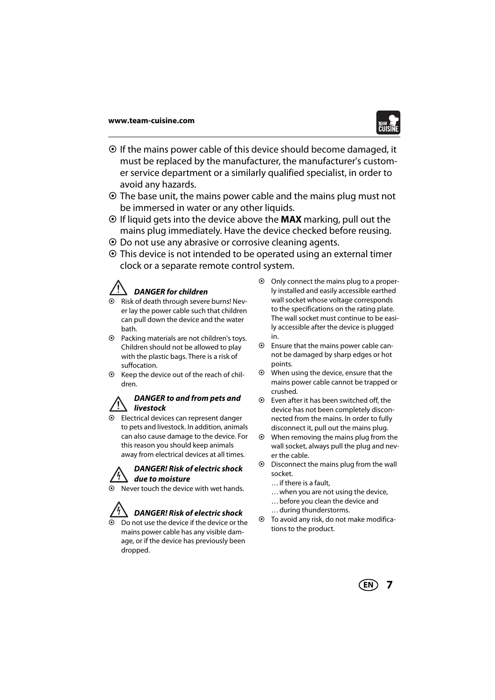

- $\odot$  If the mains power cable of this device should become damaged, it must be replaced by the manufacturer, the manufacturer's customer service department or a similarly qualified specialist, in order to avoid any hazards.
- $\odot$  The base unit, the mains power cable and the mains plug must not be immersed in water or any other liquids.
- ~ If liquid gets into the device above the **MAX** marking, pull out the mains plug immediately. Have the device checked before reusing.
- ~ Do not use any abrasive or corrosive cleaning agents.
- $\odot$  This device is not intended to be operated using an external timer clock or a separate remote control system.

# *DANGER for children*

- ~ Risk of death through severe burns! Never lay the power cable such that children can pull down the device and the water bath.
- $\odot$  Packing materials are not children's toys. Children should not be allowed to play with the plastic bags. There is a risk of suffocation.
- $\odot$  Keep the device out of the reach of children.

#### *DANGER to and from pets and livestock*

~ Electrical devices can represent danger to pets and livestock. In addition, animals can also cause damage to the device. For this reason you should keep animals away from electrical devices at all times.

### *DANGER! Risk of electric shock due to moisture*

 $\odot$  Never touch the device with wet hands.

# *DANGER! Risk of electric shock*

 $\odot$  Do not use the device if the device or the mains power cable has any visible damage, or if the device has previously been dropped.

- $\odot$  Only connect the mains plug to a properly installed and easily accessible earthed wall socket whose voltage corresponds to the specifications on the rating plate. The wall socket must continue to be easily accessible after the device is plugged in.
- ~ Ensure that the mains power cable cannot be damaged by sharp edges or hot points.
- $•$  When using the device, ensure that the mains power cable cannot be trapped or crushed.
- $\odot$  Even after it has been switched off, the device has not been completely disconnected from the mains. In order to fully disconnect it, pull out the mains plug.
- $\odot$  When removing the mains plug from the wall socket, always pull the plug and never the cable.
- $\odot$  Disconnect the mains plug from the wall socket.
	- …if there is a fault,
	- …when you are not using the device,
	- …before you clean the device and
	- …during thunderstorms.
- ~ To avoid any risk, do not make modifications to the product.

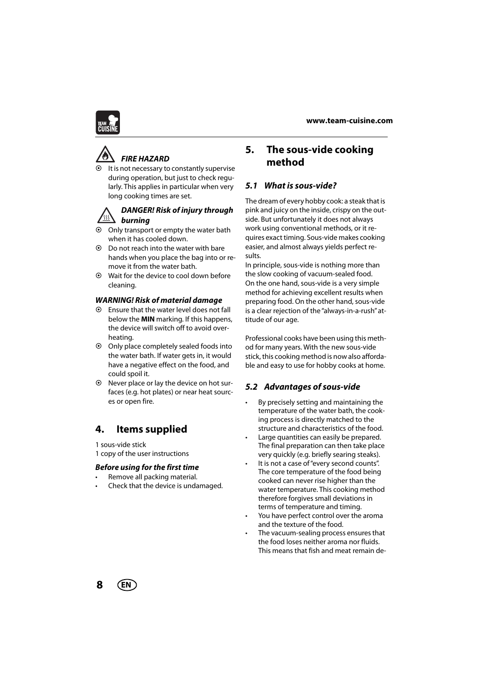

# *FIRE HAZARD*

 $\odot$  It is not necessary to constantly supervise during operation, but just to check regularly. This applies in particular when very long cooking times are set.

#### *DANGER! Risk of injury through*  へい *burning*

- ~ Only transport or empty the water bath when it has cooled down.
- $\odot$  Do not reach into the water with bare hands when you place the bag into or remove it from the water bath.
- ~ Wait for the device to cool down before cleaning.

#### *WARNING! Risk of material damage*

- $\odot$  Ensure that the water level does not fall below the **MIN** marking. If this happens, the device will switch off to avoid overheating.
- $\odot$  Only place completely sealed foods into the water bath. If water gets in, it would have a negative effect on the food, and could spoil it.
- ~ Never place or lay the device on hot surfaces (e.g. hot plates) or near heat sources or open fire.

# **4. Items supplied**

1 sous-vide stick 1 copy of the user instructions

### *Before using for the first time*

- Remove all packing material.
- Check that the device is undamaged.

# **5. The sous-vide cooking method**

### *5.1 What is sous-vide?*

The dream of every hobby cook: a steak that is pink and juicy on the inside, crispy on the outside. But unfortunately it does not always work using conventional methods, or it requires exact timing. Sous-vide makes cooking easier, and almost always yields perfect results.

In principle, sous-vide is nothing more than the slow cooking of vacuum-sealed food. On the one hand, sous-vide is a very simple method for achieving excellent results when preparing food. On the other hand, sous-vide is a clear rejection of the "always-in-a-rush" attitude of our age.

Professional cooks have been using this method for many years. With the new sous-vide stick, this cooking method is now also affordable and easy to use for hobby cooks at home.

### *5.2 Advantages of sous-vide*

- By precisely setting and maintaining the temperature of the water bath, the cooking process is directly matched to the structure and characteristics of the food.
- Large quantities can easily be prepared. The final preparation can then take place very quickly (e.g. briefly searing steaks).
- It is not a case of "every second counts". The core temperature of the food being cooked can never rise higher than the water temperature. This cooking method therefore forgives small deviations in terms of temperature and timing.
- You have perfect control over the aroma and the texture of the food.
- The vacuum-sealing process ensures that the food loses neither aroma nor fluids. This means that fish and meat remain de-

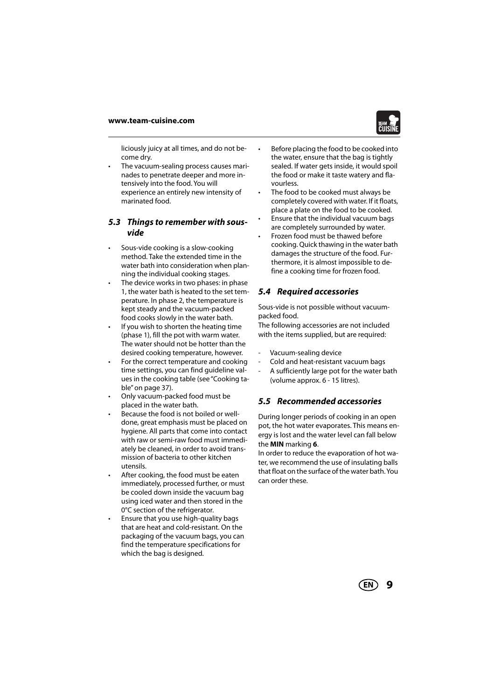liciously juicy at all times, and do not become dry.

• The vacuum-sealing process causes marinades to penetrate deeper and more intensively into the food. You will experience an entirely new intensity of marinated food.

### *5.3 Things to remember with sousvide*

- Sous-vide cooking is a slow-cooking method. Take the extended time in the water bath into consideration when planning the individual cooking stages.
- The device works in two phases: in phase 1, the water bath is heated to the set temperature. In phase 2, the temperature is kept steady and the vacuum-packed food cooks slowly in the water bath.
- If you wish to shorten the heating time (phase 1), fill the pot with warm water. The water should not be hotter than the desired cooking temperature, however.
- For the correct temperature and cooking time settings, you can find guideline values in the cooking table (see "Cooking table" on page 37).
- Only vacuum-packed food must be placed in the water bath.
- Because the food is not boiled or welldone, great emphasis must be placed on hygiene. All parts that come into contact with raw or semi-raw food must immediately be cleaned, in order to avoid transmission of bacteria to other kitchen utensils.
- After cooking, the food must be eaten immediately, processed further, or must be cooled down inside the vacuum bag using iced water and then stored in the 0°C section of the refrigerator.
- Ensure that you use high-quality bags that are heat and cold-resistant. On the packaging of the vacuum bags, you can find the temperature specifications for which the bag is designed.
- Before placing the food to be cooked into the water, ensure that the bag is tightly sealed. If water gets inside, it would spoil the food or make it taste watery and flavourless.
- The food to be cooked must always be completely covered with water. If it floats, place a plate on the food to be cooked.
- Ensure that the individual vacuum bags are completely surrounded by water.
- Frozen food must be thawed before cooking. Quick thawing in the water bath damages the structure of the food. Furthermore, it is almost impossible to define a cooking time for frozen food.

### *5.4 Required accessories*

Sous-vide is not possible without vacuumpacked food.

The following accessories are not included with the items supplied, but are required:

- Vacuum-sealing device
- Cold and heat-resistant vacuum bags
- A sufficiently large pot for the water bath (volume approx. 6 - 15 litres).

### *5.5 Recommended accessories*

During longer periods of cooking in an open pot, the hot water evaporates. This means energy is lost and the water level can fall below the **MIN** marking **6**.

In order to reduce the evaporation of hot water, we recommend the use of insulating balls that float on the surface of the water bath. You can order these.







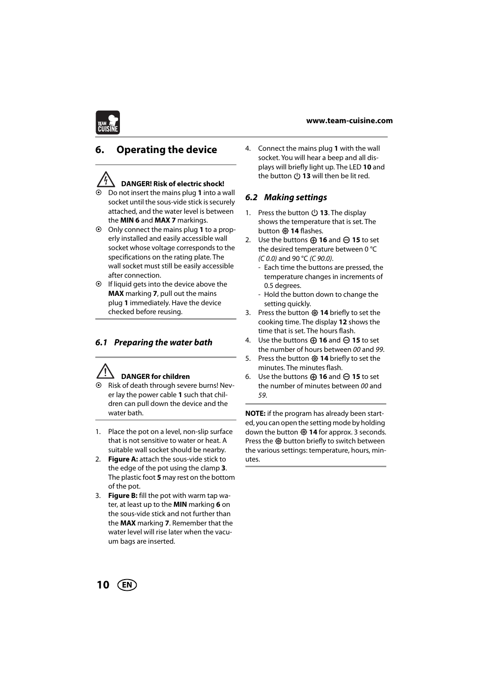

# **6. Operating the device**

# **DANGER! Risk of electric shock!**

- ~ Do not insert the mains plug **1** into a wall socket until the sous-vide stick is securely attached, and the water level is between the **MIN 6** and **MAX 7** markings.
- ~ Only connect the mains plug **1** to a properly installed and easily accessible wall socket whose voltage corresponds to the specifications on the rating plate. The wall socket must still be easily accessible after connection.
- $\odot$  If liquid gets into the device above the **MAX** marking **7**, pull out the mains plug **1** immediately. Have the device checked before reusing.

### *6.1 Preparing the water bath*

# **DANGER for children**

- ~ Risk of death through severe burns! Never lay the power cable **1** such that children can pull down the device and the water bath.
- 1. Place the pot on a level, non-slip surface that is not sensitive to water or heat. A suitable wall socket should be nearby.
- 2. **Figure A:** attach the sous-vide stick to the edge of the pot using the clamp **3**. The plastic foot **5** may rest on the bottom of the pot.
- 3. **Figure B:** fill the pot with warm tap water, at least up to the **MIN** marking **6** on the sous-vide stick and not further than the **MAX** marking **7**. Remember that the water level will rise later when the vacuum bags are inserted.

4. Connect the mains plug **1** with the wall socket. You will hear a beep and all displays will briefly light up. The LED **10** and the button **13** will then be lit red.

### *6.2 Making settings*

- 1. Press the button **13**. The display shows the temperature that is set. The button **14** flashes.
- 2. Use the buttons  $\bigoplus$  **16** and  $\bigoplus$  **15** to set the desired temperature between 0 °C (C 0.0) and 90 °C (C 90.0).
	- Each time the buttons are pressed, the temperature changes in increments of 0.5 degrees.
	- Hold the button down to change the setting quickly.
- 3. Press the button **14** briefly to set the cooking time. The display **12** shows the time that is set. The hours flash.
- 4. Use the buttons  $\oplus$  **16** and  $\ominus$  **15** to set the number of hours between 00 and 99.
- 5. Press the button **14** briefly to set the minutes. The minutes flash.
- 6. Use the buttons  $\oplus$  **16** and  $\ominus$  **15** to set the number of minutes between 00 and 59.

**NOTE:** if the program has already been started, you can open the setting mode by holding down the button **14** for approx. 3 seconds. Press the  $\ddot{\otimes}$  button briefly to switch between the various settings: temperature, hours, minutes.

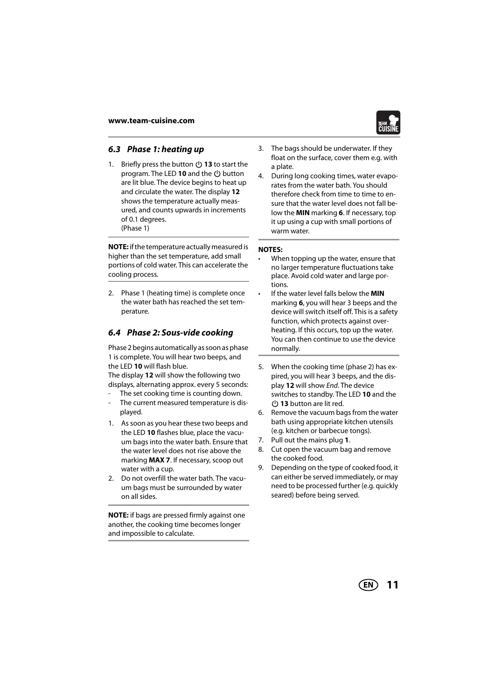

### *6.3 Phase 1: heating up*

1. Briefly press the button **13** to start the program. The LED **10** and the  $\bigcirc$  button are lit blue. The device begins to heat up and circulate the water. The display **12** shows the temperature actually measured, and counts upwards in increments of 0.1 degrees. (Phase 1)

**NOTE:** if the temperature actually measured is higher than the set temperature, add small portions of cold water. This can accelerate the cooling process.

2. Phase 1 (heating time) is complete once the water bath has reached the set temperature.

### *6.4 Phase 2: Sous-vide cooking*

Phase 2 begins automatically as soon as phase 1 is complete. You will hear two beeps, and the LED **10** will flash blue.

The display **12** will show the following two displays, alternating approx. every 5 seconds:

- The set cooking time is counting down.
- The current measured temperature is displayed.
- 1. As soon as you hear these two beeps and the LED **10** flashes blue, place the vacuum bags into the water bath. Ensure that the water level does not rise above the marking **MAX 7**. If necessary, scoop out water with a cup.
- 2. Do not overfill the water bath. The vacuum bags must be surrounded by water on all sides.

**NOTE:** if bags are pressed firmly against one another, the cooking time becomes longer and impossible to calculate.

- 3. The bags should be underwater. If they float on the surface, cover them e.g. with a plate.
- 4. During long cooking times, water evaporates from the water bath. You should therefore check from time to time to ensure that the water level does not fall below the **MIN** marking **6**. If necessary, top it up using a cup with small portions of warm water.

#### **NOTES:**

- When topping up the water, ensure that no larger temperature fluctuations take place. Avoid cold water and large portions.
- If the water level falls below the **MIN** marking **6**, you will hear 3 beeps and the device will switch itself off. This is a safety function, which protects against overheating. If this occurs, top up the water. You can then continue to use the device normally.
- 5. When the cooking time (phase 2) has expired, you will hear 3 beeps, and the display **12** will show End. The device switches to standby. The LED **10** and the **13** button are lit red.
- 6. Remove the vacuum bags from the water bath using appropriate kitchen utensils (e.g. kitchen or barbecue tongs).
- 7. Pull out the mains plug **1**.
- 8. Cut open the vacuum bag and remove the cooked food.
- 9. Depending on the type of cooked food, it can either be served immediately, or may need to be processed further (e.g. quickly seared) before being served.

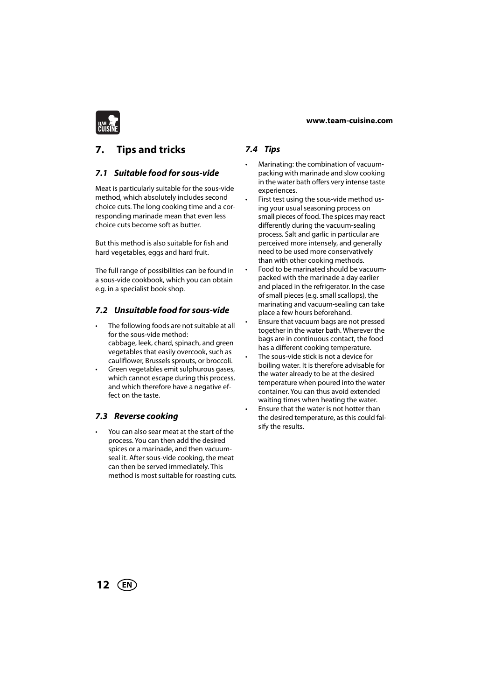

# **7. Tips and tricks**

### *7.1 Suitable food for sous-vide*

Meat is particularly suitable for the sous-vide method, which absolutely includes second choice cuts. The long cooking time and a corresponding marinade mean that even less choice cuts become soft as butter.

But this method is also suitable for fish and hard vegetables, eggs and hard fruit.

The full range of possibilities can be found in a sous-vide cookbook, which you can obtain e.g. in a specialist book shop.

### *7.2 Unsuitable food for sous-vide*

- The following foods are not suitable at all for the sous-vide method: cabbage, leek, chard, spinach, and green vegetables that easily overcook, such as cauliflower, Brussels sprouts, or broccoli.
- Green vegetables emit sulphurous gases, which cannot escape during this process, and which therefore have a negative effect on the taste.

### *7.3 Reverse cooking*

• You can also sear meat at the start of the process. You can then add the desired spices or a marinade, and then vacuumseal it. After sous-vide cooking, the meat can then be served immediately. This method is most suitable for roasting cuts.

### *7.4 Tips*

- Marinating: the combination of vacuumpacking with marinade and slow cooking in the water bath offers very intense taste experiences.
- First test using the sous-vide method using your usual seasoning process on small pieces of food. The spices may react differently during the vacuum-sealing process. Salt and garlic in particular are perceived more intensely, and generally need to be used more conservatively than with other cooking methods.
- Food to be marinated should be vacuumpacked with the marinade a day earlier and placed in the refrigerator. In the case of small pieces (e.g. small scallops), the marinating and vacuum-sealing can take place a few hours beforehand.
- Ensure that vacuum bags are not pressed together in the water bath. Wherever the bags are in continuous contact, the food has a different cooking temperature.
- The sous-vide stick is not a device for boiling water. It is therefore advisable for the water already to be at the desired temperature when poured into the water container. You can thus avoid extended waiting times when heating the water.
- Ensure that the water is not hotter than the desired temperature, as this could falsify the results.

 $12<sup>7</sup>$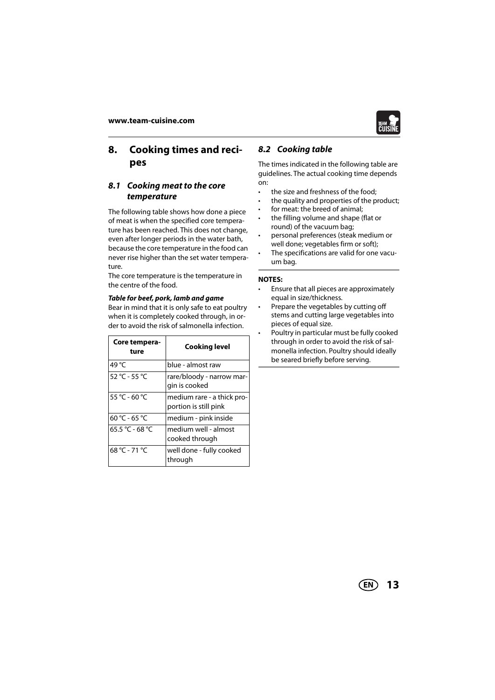

# **8. Cooking times and recipes**

### *8.1 Cooking meat to the core temperature*

The following table shows how done a piece of meat is when the specified core temperature has been reached. This does not change, even after longer periods in the water bath, because the core temperature in the food can never rise higher than the set water temperature.

The core temperature is the temperature in the centre of the food.

#### *Table for beef, pork, lamb and game*

Bear in mind that it is only safe to eat poultry when it is completely cooked through, in order to avoid the risk of salmonella infection.

| Core tempera-<br>ture | <b>Cooking level</b>                                |
|-----------------------|-----------------------------------------------------|
| 49 $\degree$ C        | blue - almost raw                                   |
| 52 °C - 55 °C         | -rare/bloody - narrow mar<br>gin is cooked          |
| 55 °C - 60 °C         | medium rare - a thick pro-<br>portion is still pink |
| 60 °C - 65 °C         | medium - pink inside                                |
| 65.5 °C - 68 °C       | medium well - almost<br>cooked through              |
| 68 °C - 71 °C         | well done - fully cooked<br>through                 |

### *8.2 Cooking table*

The times indicated in the following table are guidelines. The actual cooking time depends on:

- the size and freshness of the food;
- the quality and properties of the product;
- for meat: the breed of animal:
- the filling volume and shape (flat or round) of the vacuum bag;
- personal preferences (steak medium or well done; vegetables firm or soft);
- The specifications are valid for one vacuum bag.

#### **NOTES:**

- Ensure that all pieces are approximately equal in size/thickness.
- Prepare the vegetables by cutting off stems and cutting large vegetables into pieces of equal size.
- Poultry in particular must be fully cooked through in order to avoid the risk of salmonella infection. Poultry should ideally be seared briefly before serving.

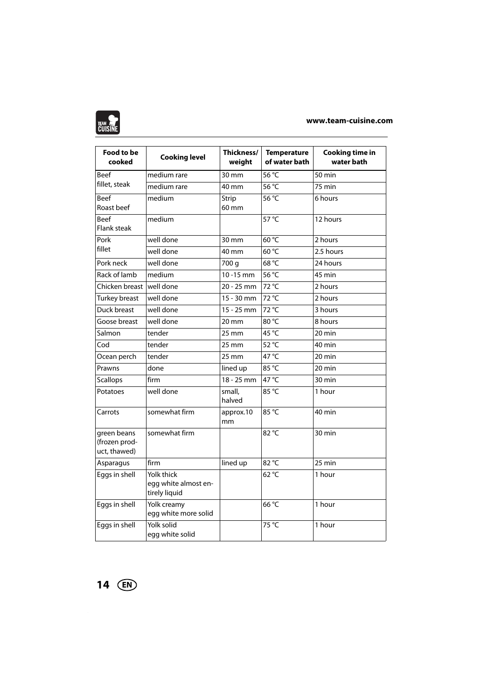

| Food to be<br>cooked                         | <b>Cooking level</b>                                | Thickness/<br>weight | <b>Temperature</b><br>of water bath | <b>Cooking time in</b><br>water bath |
|----------------------------------------------|-----------------------------------------------------|----------------------|-------------------------------------|--------------------------------------|
| <b>Beef</b>                                  | medium rare                                         | $30 \, \text{mm}$    | 56 °C                               | 50 min                               |
| fillet, steak                                | medium rare                                         | 40 mm                | 56 °C                               | 75 min                               |
| <b>Beef</b><br>Roast beef                    | medium                                              | Strip<br>60 mm       | 56 °C                               | 6 hours                              |
| <b>Beef</b><br>Flank steak                   | medium                                              |                      | 57 °C                               | 12 hours                             |
| Pork                                         | well done                                           | 30 mm                | 60 °C                               | 2 hours                              |
| fillet                                       | well done                                           | 40 mm                | 60 °C                               | 2.5 hours                            |
| Pork neck                                    | well done                                           | 700 g                | 68 °C                               | 24 hours                             |
| Rack of lamb                                 | medium                                              | 10-15 mm             | 56 °C                               | 45 min                               |
| Chicken breast                               | well done                                           | 20 - 25 mm           | 72 °C                               | 2 hours                              |
| Turkey breast                                | well done                                           | $15 - 30$ mm         | 72 °C                               | 2 hours                              |
| Duck breast                                  | well done                                           | 15 - 25 mm           | 72 °C                               | 3 hours                              |
| Goose breast                                 | well done                                           | 20 mm                | 80 °C                               | 8 hours                              |
| Salmon                                       | tender                                              | 25 mm                | 45 °C                               | 20 min                               |
| Cod                                          | tender                                              | 25 mm                | 52 °C                               | 40 min                               |
| Ocean perch                                  | tender                                              | $25 \, \text{mm}$    | 47 °C                               | 20 min                               |
| Prawns                                       | done                                                | lined up             | 85 °C                               | 20 min                               |
| <b>Scallops</b>                              | firm                                                | 18 - 25 mm           | 47 °C                               | 30 min                               |
| Potatoes                                     | well done                                           | small,<br>halved     | 85 °C                               | 1 hour                               |
| Carrots                                      | somewhat firm                                       | approx.10<br>mm      | 85 °C                               | 40 min                               |
| green beans<br>(frozen prod-<br>uct, thawed) | somewhat firm                                       |                      | 82 °C                               | 30 min                               |
| Asparagus                                    | firm                                                | lined up             | 82 °C                               | $25$ min                             |
| Eggs in shell                                | Yolk thick<br>egg white almost en-<br>tirely liquid |                      | 62 °C                               | 1 hour                               |
| Eggs in shell                                | Yolk creamy<br>egg white more solid                 |                      | 66 °C                               | 1 hour                               |
| Eggs in shell                                | Yolk solid<br>egg white solid                       |                      | 75 °C                               | 1 hour                               |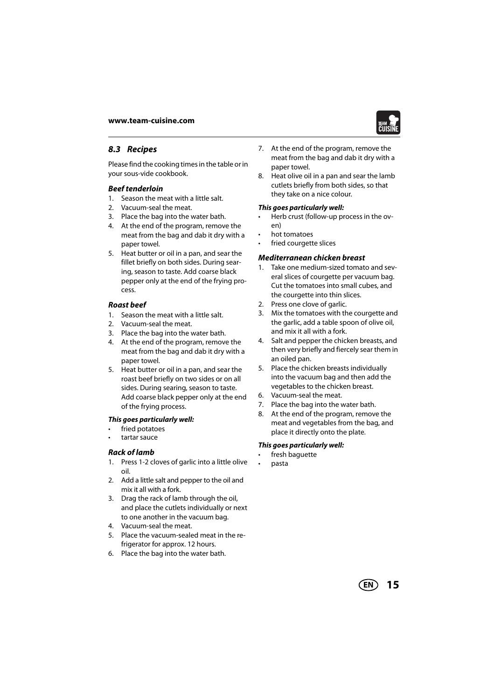### *8.3 Recipes*

Please find the cooking times in the table or in your sous-vide cookbook.

### *Beef tenderloin*

- 1. Season the meat with a little salt.
- 2. Vacuum-seal the meat.
- 3. Place the bag into the water bath.
- 4. At the end of the program, remove the meat from the bag and dab it dry with a paper towel.
- 5. Heat butter or oil in a pan, and sear the fillet briefly on both sides. During searing, season to taste. Add coarse black pepper only at the end of the frying process.

#### *Roast beef*

- 1. Season the meat with a little salt.
- 2. Vacuum-seal the meat.
- 3. Place the bag into the water bath.
- 4. At the end of the program, remove the meat from the bag and dab it dry with a paper towel.
- 5. Heat butter or oil in a pan, and sear the roast beef briefly on two sides or on all sides. During searing, season to taste. Add coarse black pepper only at the end of the frying process.

#### *This goes particularly well:*

- fried potatoes
- tartar sauce

#### *Rack of lamb*

- 1. Press 1-2 cloves of garlic into a little olive oil.
- 2. Add a little salt and pepper to the oil and mix it all with a fork.
- 3. Drag the rack of lamb through the oil, and place the cutlets individually or next to one another in the vacuum bag.
- 4. Vacuum-seal the meat.
- 5. Place the vacuum-sealed meat in the refrigerator for approx. 12 hours.
- 6. Place the bag into the water bath.
- 7. At the end of the program, remove the meat from the bag and dab it dry with a paper towel.
- 8. Heat olive oil in a pan and sear the lamb cutlets briefly from both sides, so that they take on a nice colour.

#### *This goes particularly well:*

- Herb crust (follow-up process in the ov $an)$
- hot tomatoes
- fried courgette slices

#### *Mediterranean chicken breast*

- 1. Take one medium-sized tomato and several slices of courgette per vacuum bag. Cut the tomatoes into small cubes, and the courgette into thin slices.
- 2. Press one clove of garlic.
- 3. Mix the tomatoes with the courgette and the garlic, add a table spoon of olive oil, and mix it all with a fork.
- 4. Salt and pepper the chicken breasts, and then very briefly and fiercely sear them in an oiled pan.
- 5. Place the chicken breasts individually into the vacuum bag and then add the vegetables to the chicken breast.
- 6. Vacuum-seal the meat.
- 7. Place the bag into the water bath.
- 8. At the end of the program, remove the meat and vegetables from the bag, and place it directly onto the plate.

#### *This goes particularly well:*

- fresh baguette
- pasta

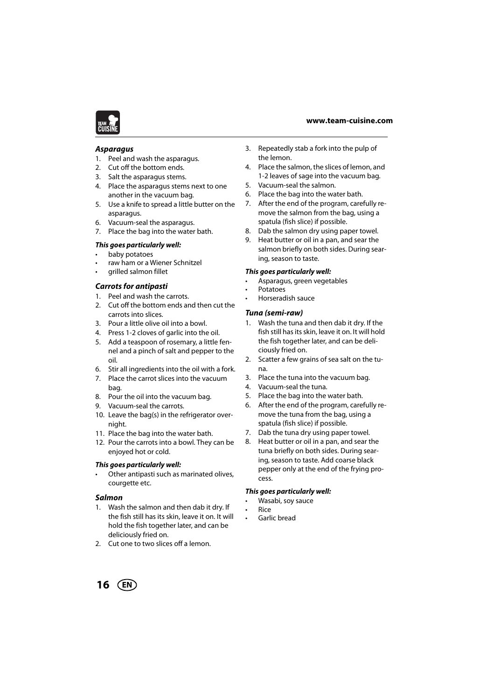

#### *Asparagus*

- 1. Peel and wash the asparagus.
- 2. Cut off the bottom ends.
- 3. Salt the asparagus stems.
- 4. Place the asparagus stems next to one another in the vacuum bag.
- 5. Use a knife to spread a little butter on the asparagus.
- 6. Vacuum-seal the asparagus.
- 7. Place the bag into the water bath.

#### *This goes particularly well:*

- baby potatoes
- raw ham or a Wiener Schnitzel
- grilled salmon fillet

#### *Carrots for antipasti*

- 1. Peel and wash the carrots.
- 2. Cut off the bottom ends and then cut the carrots into slices.
- 3. Pour a little olive oil into a bowl.
- 4. Press 1-2 cloves of garlic into the oil.
- 5. Add a teaspoon of rosemary, a little fennel and a pinch of salt and pepper to the oil.
- 6. Stir all ingredients into the oil with a fork.
- 7. Place the carrot slices into the vacuum bag.
- 8. Pour the oil into the vacuum bag.
- 9. Vacuum-seal the carrots.
- 10. Leave the bag(s) in the refrigerator overnight.
- 11. Place the bag into the water bath.
- 12. Pour the carrots into a bowl. They can be enjoyed hot or cold.

#### *This goes particularly well:*

Other antipasti such as marinated olives, courgette etc.

#### *Salmon*

- 1. Wash the salmon and then dab it dry. If the fish still has its skin, leave it on. It will hold the fish together later, and can be deliciously fried on.
- 2. Cut one to two slices off a lemon.
- 3. Repeatedly stab a fork into the pulp of the lemon.
- 4. Place the salmon, the slices of lemon, and 1-2 leaves of sage into the vacuum bag.
- 5. Vacuum-seal the salmon.
- 6. Place the bag into the water bath.
- 7. After the end of the program, carefully remove the salmon from the bag, using a spatula (fish slice) if possible.
- 8. Dab the salmon dry using paper towel.
- 9. Heat butter or oil in a pan, and sear the salmon briefly on both sides. During searing, season to taste.

#### *This goes particularly well:*

- Asparagus, green vegetables
- **Potatoes**
- Horseradish sauce

#### *Tuna (semi-raw)*

- 1. Wash the tuna and then dab it dry. If the fish still has its skin, leave it on. It will hold the fish together later, and can be deliciously fried on.
- 2. Scatter a few grains of sea salt on the tuna.
- 3. Place the tuna into the vacuum bag.
- 4. Vacuum-seal the tuna.
- 5. Place the bag into the water bath.
- 6. After the end of the program, carefully remove the tuna from the bag, using a spatula (fish slice) if possible.
- 7. Dab the tuna dry using paper towel.
- 8. Heat butter or oil in a pan, and sear the tuna briefly on both sides. During searing, season to taste. Add coarse black pepper only at the end of the frying process.

#### *This goes particularly well:*

- Wasabi, soy sauce
- Rice
- Garlic bread

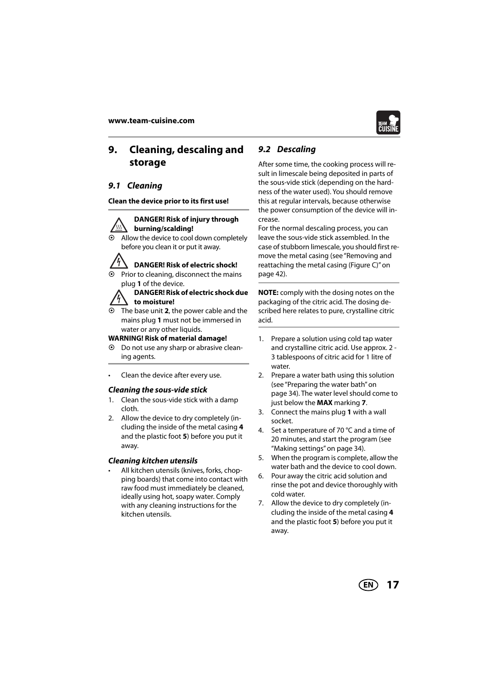

## **9. Cleaning, descaling and storage**

### *9.1 Cleaning*

**Clean the device prior to its first use!**



#### **DANGER! Risk of injury through burning/scalding!**

 $\odot$  Allow the device to cool down completely before you clean it or put it away.

### **DANGER! Risk of electric shock!**

 $\odot$  Prior to cleaning, disconnect the mains plug **1** of the device.

#### **DANGER! Risk of electric shock due to moisture!**

~ The base unit **2**, the power cable and the mains plug **1** must not be immersed in water or any other liquids.

#### **WARNING! Risk of material damage!**

- ~ Do not use any sharp or abrasive cleaning agents.
- Clean the device after every use.

#### *Cleaning the sous-vide stick*

- 1. Clean the sous-vide stick with a damp cloth.
- 2. Allow the device to dry completely (including the inside of the metal casing **4** and the plastic foot **5**) before you put it away.

#### *Cleaning kitchen utensils*

• All kitchen utensils (knives, forks, chopping boards) that come into contact with raw food must immediately be cleaned, ideally using hot, soapy water. Comply with any cleaning instructions for the kitchen utensils.

### *9.2 Descaling*

After some time, the cooking process will result in limescale being deposited in parts of the sous-vide stick (depending on the hardness of the water used). You should remove this at regular intervals, because otherwise the power consumption of the device will increase.

For the normal descaling process, you can leave the sous-vide stick assembled. In the case of stubborn limescale, you should first remove the metal casing (see "Removing and reattaching the metal casing (Figure C)" on page 42).

**NOTE:** comply with the dosing notes on the packaging of the citric acid. The dosing described here relates to pure, crystalline citric acid.

- 1. Prepare a solution using cold tap water and crystalline citric acid. Use approx. 2 - 3 tablespoons of citric acid for 1 litre of water.
- 2. Prepare a water bath using this solution (see "Preparing the water bath" on page 34). The water level should come to just below the **MAX** marking **7**.
- 3. Connect the mains plug **1** with a wall socket.
- 4. Set a temperature of 70 °C and a time of 20 minutes, and start the program (see "Making settings" on page 34).
- 5. When the program is complete, allow the water bath and the device to cool down.
- 6. Pour away the citric acid solution and rinse the pot and device thoroughly with cold water.
- 7. Allow the device to dry completely (including the inside of the metal casing **4** and the plastic foot **5**) before you put it away.

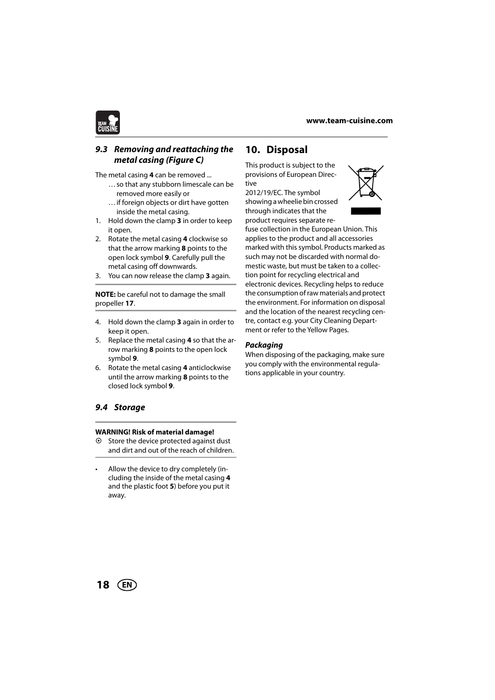

### *9.3 Removing and reattaching the metal casing (Figure C)*

The metal casing **4** can be removed ...

- … so that any stubborn limescale can be removed more easily or
- … if foreign objects or dirt have gotten inside the metal casing.
- 1. Hold down the clamp **3** in order to keep it open.
- 2. Rotate the metal casing **4** clockwise so that the arrow marking **8** points to the open lock symbol **9**. Carefully pull the metal casing off downwards.
- 3. You can now release the clamp **3** again.

**NOTE:** be careful not to damage the small propeller **17**.

- 4. Hold down the clamp **3** again in order to keep it open.
- 5. Replace the metal casing **4** so that the arrow marking **8** points to the open lock symbol **9**.
- 6. Rotate the metal casing **4** anticlockwise until the arrow marking **8** points to the closed lock symbol **9**.

### *9.4 Storage*

#### **WARNING! Risk of material damage!**

- $\odot$  Store the device protected against dust and dirt and out of the reach of children.
- Allow the device to dry completely (including the inside of the metal casing **4** and the plastic foot **5**) before you put it away.

# **10. Disposal**

This product is subject to the provisions of European Directive

2012/19/EC. The symbol showing a wheelie bin crossed through indicates that the product requires separate re-



fuse collection in the European Union. This applies to the product and all accessories marked with this symbol. Products marked as such may not be discarded with normal domestic waste, but must be taken to a collection point for recycling electrical and electronic devices. Recycling helps to reduce the consumption of raw materials and protect the environment. For information on disposal and the location of the nearest recycling centre, contact e.g. your City Cleaning Department or refer to the Yellow Pages.

### *Packaging*

When disposing of the packaging, make sure you comply with the environmental regulations applicable in your country.

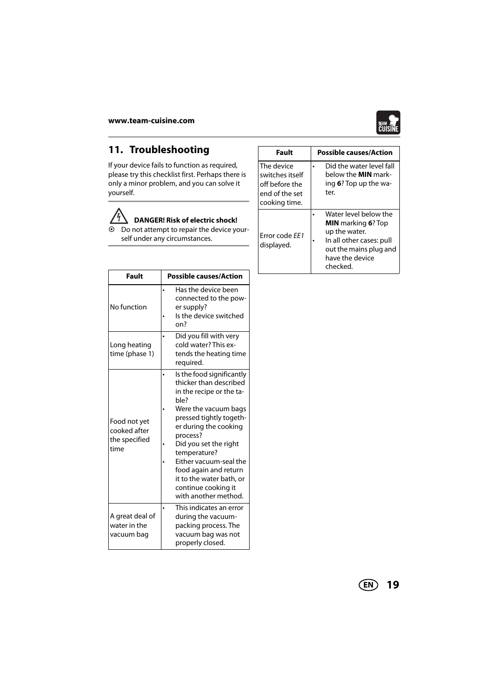

# **11. Troubleshooting**

If your device fails to function as required, please try this checklist first. Perhaps there is only a minor problem, and you can solve it yourself.



#### **DANGER! Risk of electric shock!**

~ Do not attempt to repair the device yourself under any circumstances.

| Fault                                                                              | <b>Possible causes/Action</b>                                                                                                                                    |
|------------------------------------------------------------------------------------|------------------------------------------------------------------------------------------------------------------------------------------------------------------|
| The device<br>switches itself<br>off before the<br>end of the set<br>cooking time. | Did the water level fall<br>below the <b>MIN</b> mark-<br>ing 6? Top up the wa-<br>ter.                                                                          |
| Frror code FF1<br>displayed.                                                       | Water level below the<br><b>MIN</b> marking <b>6</b> ? Top<br>up the water.<br>In all other cases: pull<br>out the mains plug and<br>have the device<br>checked. |

| Fault                                                 | <b>Possible causes/Action</b>                                                                                                                                                                                                                                                                                                                          |
|-------------------------------------------------------|--------------------------------------------------------------------------------------------------------------------------------------------------------------------------------------------------------------------------------------------------------------------------------------------------------------------------------------------------------|
| No function                                           | Has the device been<br>$\bullet$<br>connected to the pow-<br>er supply?<br>Is the device switched<br>on?                                                                                                                                                                                                                                               |
| Long heating<br>time (phase 1)                        | Did you fill with very<br>cold water? This ex-<br>tends the heating time<br>required.                                                                                                                                                                                                                                                                  |
| Food not yet<br>cooked after<br>the specified<br>time | Is the food significantly<br>thicker than described<br>in the recipe or the ta-<br>ble?<br>Were the vacuum bags<br>pressed tightly togeth-<br>er during the cooking<br>process?<br>Did you set the right<br>temperature?<br>Either vacuum-seal the<br>food again and return<br>it to the water bath, or<br>continue cooking it<br>with another method. |
| A great deal of<br>water in the<br>vacuum bag         | This indicates an error<br>$\bullet$<br>during the vacuum-<br>packing process. The<br>vacuum bag was not<br>properly closed.                                                                                                                                                                                                                           |

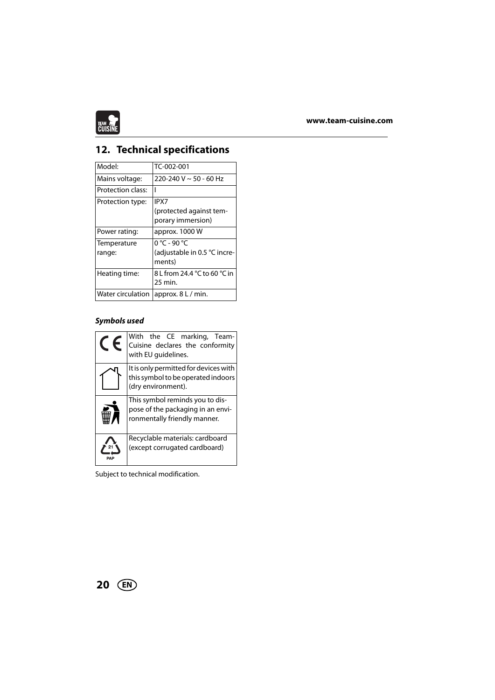

# **12. Technical specifications**

| Model:            | TC-002-001                                   |
|-------------------|----------------------------------------------|
| Mains voltage:    | $220 - 240$ V ~ 50 - 60 Hz                   |
| Protection class: |                                              |
| Protection type:  | IPX7                                         |
|                   | (protected against tem-<br>porary immersion) |
| Power rating:     | approx. 1000 W                               |
| Temperature       | $0^{\circ}$ C - 90 $^{\circ}$ C              |
| range:            | (adjustable in 0.5 °C incre-<br>ments)       |
| Heating time:     | 8 L from 24.4 °C to 60 °C in<br>25 min.      |
| Water circulation | approx. $8 L/m$ in.                          |

### *Symbols used*

| With the CE marking, Team-<br>Cuisine declares the conformity<br>with EU guidelines.                 |  |  |
|------------------------------------------------------------------------------------------------------|--|--|
| It is only permitted for devices with<br>this symbol to be operated indoors<br>(dry environment).    |  |  |
| This symbol reminds you to dis-<br>pose of the packaging in an envi-<br>ronmentally friendly manner. |  |  |
| Recyclable materials: cardboard<br>(except corrugated cardboard)                                     |  |  |

Subject to technical modification.

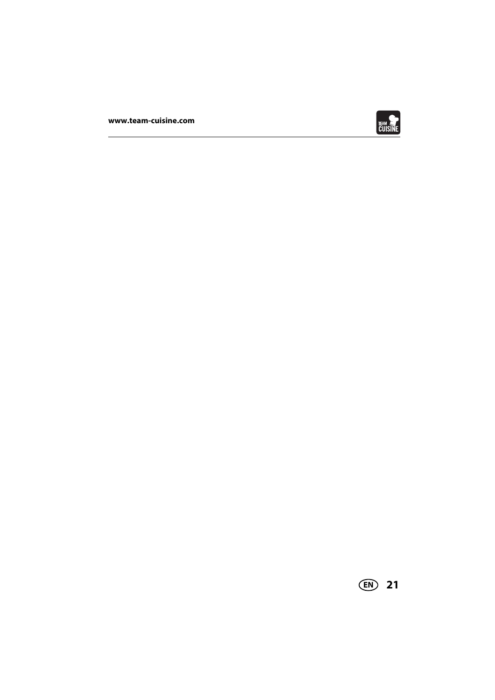